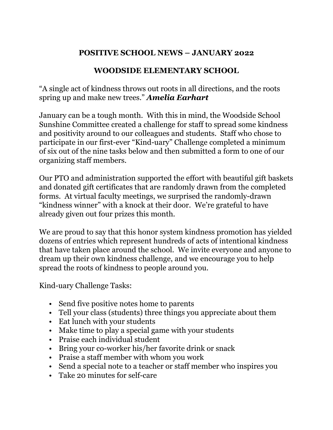# **POSITIVE SCHOOL NEWS – JANUARY 2022**

# **WOODSIDE ELEMENTARY SCHOOL**

"A single act of kindness throws out roots in all directions, and the roots spring up and make new trees." *Amelia Earhart*

January can be a tough month. With this in mind, the Woodside School Sunshine Committee created a challenge for staff to spread some kindness and positivity around to our colleagues and students. Staff who chose to participate in our first-ever "Kind-uary" Challenge completed a minimum of six out of the nine tasks below and then submitted a form to one of our organizing staff members.

Our PTO and administration supported the effort with beautiful gift baskets and donated gift certificates that are randomly drawn from the completed forms. At virtual faculty meetings, we surprised the randomly-drawn "kindness winner" with a knock at their door. We're grateful to have already given out four prizes this month.

We are proud to say that this honor system kindness promotion has yielded dozens of entries which represent hundreds of acts of intentional kindness that have taken place around the school. We invite everyone and anyone to dream up their own kindness challenge, and we encourage you to help spread the roots of kindness to people around you.

Kind-uary Challenge Tasks:

- Send five positive notes home to parents
- Tell your class (students) three things you appreciate about them
- Eat lunch with your students
- Make time to play a special game with your students
- Praise each individual student
- Bring your co-worker his/her favorite drink or snack
- Praise a staff member with whom you work
- Send a special note to a teacher or staff member who inspires you
- Take 20 minutes for self-care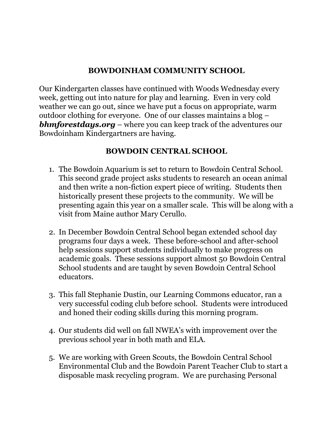### **BOWDOINHAM COMMUNITY SCHOOL**

Our Kindergarten classes have continued with Woods Wednesday every week, getting out into nature for play and learning. Even in very cold weather we can go out, since we have put a focus on appropriate, warm outdoor clothing for everyone. One of our classes maintains a blog – *bhmforestdays.org* – where you can keep track of the adventures our Bowdoinham Kindergartners are having.

### **BOWDOIN CENTRAL SCHOOL**

- 1. The Bowdoin Aquarium is set to return to Bowdoin Central School. This second grade project asks students to research an ocean animal and then write a non-fiction expert piece of writing. Students then historically present these projects to the community. We will be presenting again this year on a smaller scale. This will be along with a visit from Maine author Mary Cerullo.
- 2. In December Bowdoin Central School began extended school day programs four days a week. These before-school and after-school help sessions support students individually to make progress on academic goals. These sessions support almost 50 Bowdoin Central School students and are taught by seven Bowdoin Central School educators.
- 3. This fall Stephanie Dustin, our Learning Commons educator, ran a very successful coding club before school. Students were introduced and honed their coding skills during this morning program.
- 4. Our students did well on fall NWEA's with improvement over the previous school year in both math and ELA.
- 5. We are working with Green Scouts, the Bowdoin Central School Environmental Club and the Bowdoin Parent Teacher Club to start a disposable mask recycling program. We are purchasing Personal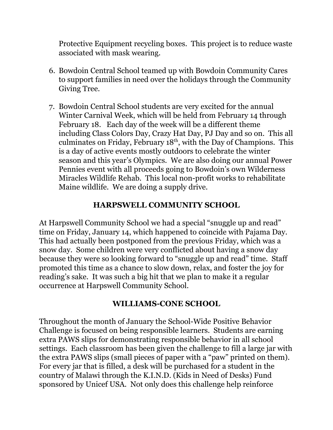Protective Equipment recycling boxes. This project is to reduce waste associated with mask wearing.

- 6. Bowdoin Central School teamed up with Bowdoin Community Cares to support families in need over the holidays through the Community Giving Tree.
- 7. Bowdoin Central School students are very excited for the annual Winter Carnival Week, which will be held from February 14 through February 18. Each day of the week will be a different theme including Class Colors Day, Crazy Hat Day, PJ Day and so on. This all culminates on Friday, February  $18<sup>th</sup>$ , with the Day of Champions. This is a day of active events mostly outdoors to celebrate the winter season and this year's Olympics. We are also doing our annual Power Pennies event with all proceeds going to Bowdoin's own Wilderness Miracles Wildlife Rehab. This local non-profit works to rehabilitate Maine wildlife. We are doing a supply drive.

### **HARPSWELL COMMUNITY SCHOOL**

At Harpswell Community School we had a special "snuggle up and read" time on Friday, January 14, which happened to coincide with Pajama Day. This had actually been postponed from the previous Friday, which was a snow day. Some children were very conflicted about having a snow day because they were so looking forward to "snuggle up and read" time. Staff promoted this time as a chance to slow down, relax, and foster the joy for reading's sake. It was such a big hit that we plan to make it a regular occurrence at Harpswell Community School.

#### **WILLIAMS-CONE SCHOOL**

Throughout the month of January the School-Wide Positive Behavior Challenge is focused on being responsible learners. Students are earning extra PAWS slips for demonstrating responsible behavior in all school settings. Each classroom has been given the challenge to fill a large jar with the extra PAWS slips (small pieces of paper with a "paw" printed on them). For every jar that is filled, a desk will be purchased for a student in the country of Malawi through the K.I.N.D. (Kids in Need of Desks) Fund sponsored by Unicef USA. Not only does this challenge help reinforce